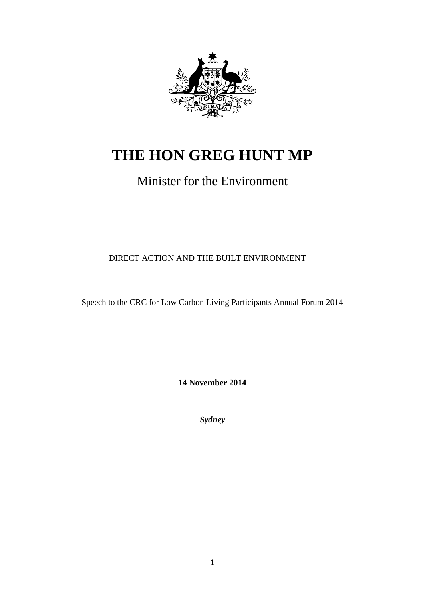

# **THE HON GREG HUNT MP**

# Minister for the Environment

DIRECT ACTION AND THE BUILT ENVIRONMENT

Speech to the CRC for Low Carbon Living Participants Annual Forum 2014

**14 November 2014**

*Sydney*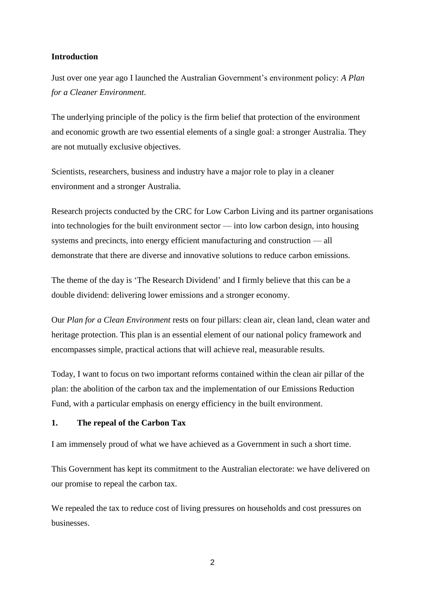#### **Introduction**

Just over one year ago I launched the Australian Government's environment policy: *A Plan for a Cleaner Environment*.

The underlying principle of the policy is the firm belief that protection of the environment and economic growth are two essential elements of a single goal: a stronger Australia. They are not mutually exclusive objectives.

Scientists, researchers, business and industry have a major role to play in a cleaner environment and a stronger Australia.

Research projects conducted by the CRC for Low Carbon Living and its partner organisations into technologies for the built environment sector — into low carbon design, into housing systems and precincts, into energy efficient manufacturing and construction — all demonstrate that there are diverse and innovative solutions to reduce carbon emissions.

The theme of the day is 'The Research Dividend' and I firmly believe that this can be a double dividend: delivering lower emissions and a stronger economy.

Our *Plan for a Clean Environment* rests on four pillars: clean air, clean land, clean water and heritage protection. This plan is an essential element of our national policy framework and encompasses simple, practical actions that will achieve real, measurable results.

Today, I want to focus on two important reforms contained within the clean air pillar of the plan: the abolition of the carbon tax and the implementation of our Emissions Reduction Fund, with a particular emphasis on energy efficiency in the built environment.

#### **1. The repeal of the Carbon Tax**

I am immensely proud of what we have achieved as a Government in such a short time.

This Government has kept its commitment to the Australian electorate: we have delivered on our promise to repeal the carbon tax.

We repealed the tax to reduce cost of living pressures on households and cost pressures on businesses.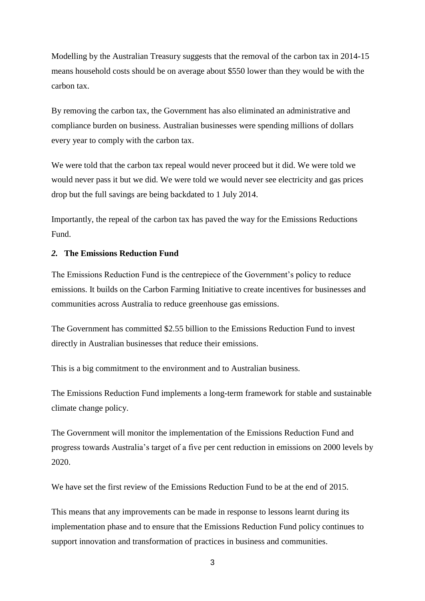Modelling by the Australian Treasury suggests that the removal of the carbon tax in 2014-15 means household costs should be on average about \$550 lower than they would be with the carbon tax.

By removing the carbon tax, the Government has also eliminated an administrative and compliance burden on business. Australian businesses were spending millions of dollars every year to comply with the carbon tax.

We were told that the carbon tax repeal would never proceed but it did. We were told we would never pass it but we did. We were told we would never see electricity and gas prices drop but the full savings are being backdated to 1 July 2014.

Importantly, the repeal of the carbon tax has paved the way for the Emissions Reductions Fund.

#### *2.* **The Emissions Reduction Fund**

The Emissions Reduction Fund is the centrepiece of the Government's policy to reduce emissions. It builds on the Carbon Farming Initiative to create incentives for businesses and communities across Australia to reduce greenhouse gas emissions.

The Government has committed \$2.55 billion to the Emissions Reduction Fund to invest directly in Australian businesses that reduce their emissions.

This is a big commitment to the environment and to Australian business.

The Emissions Reduction Fund implements a long-term framework for stable and sustainable climate change policy.

The Government will monitor the implementation of the Emissions Reduction Fund and progress towards Australia's target of a five per cent reduction in emissions on 2000 levels by 2020.

We have set the first review of the Emissions Reduction Fund to be at the end of 2015.

This means that any improvements can be made in response to lessons learnt during its implementation phase and to ensure that the Emissions Reduction Fund policy continues to support innovation and transformation of practices in business and communities.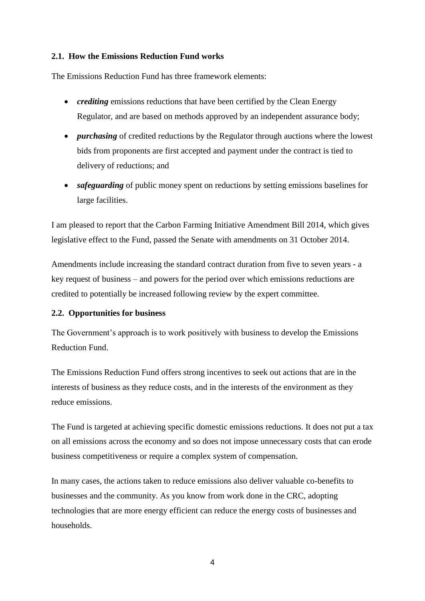#### **2.1. How the Emissions Reduction Fund works**

The Emissions Reduction Fund has three framework elements:

- *crediting* emissions reductions that have been certified by the Clean Energy Regulator, and are based on methods approved by an independent assurance body;
- *purchasing* of credited reductions by the Regulator through auctions where the lowest bids from proponents are first accepted and payment under the contract is tied to delivery of reductions; and
- *safeguarding* of public money spent on reductions by setting emissions baselines for large facilities.

I am pleased to report that the Carbon Farming Initiative Amendment Bill 2014, which gives legislative effect to the Fund, passed the Senate with amendments on 31 October 2014.

Amendments include increasing the standard contract duration from five to seven years - a key request of business – and powers for the period over which emissions reductions are credited to potentially be increased following review by the expert committee.

#### **2.2. Opportunities for business**

The Government's approach is to work positively with business to develop the Emissions Reduction Fund.

The Emissions Reduction Fund offers strong incentives to seek out actions that are in the interests of business as they reduce costs, and in the interests of the environment as they reduce emissions.

The Fund is targeted at achieving specific domestic emissions reductions. It does not put a tax on all emissions across the economy and so does not impose unnecessary costs that can erode business competitiveness or require a complex system of compensation.

In many cases, the actions taken to reduce emissions also deliver valuable co-benefits to businesses and the community. As you know from work done in the CRC, adopting technologies that are more energy efficient can reduce the energy costs of businesses and households.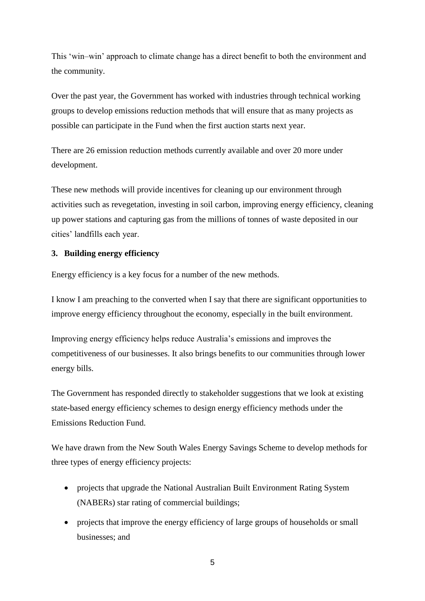This 'win–win' approach to climate change has a direct benefit to both the environment and the community.

Over the past year, the Government has worked with industries through technical working groups to develop emissions reduction methods that will ensure that as many projects as possible can participate in the Fund when the first auction starts next year.

There are 26 emission reduction methods currently available and over 20 more under development.

These new methods will provide incentives for cleaning up our environment through activities such as revegetation, investing in soil carbon, improving energy efficiency, cleaning up power stations and capturing gas from the millions of tonnes of waste deposited in our cities' landfills each year.

# **3. Building energy efficiency**

Energy efficiency is a key focus for a number of the new methods.

I know I am preaching to the converted when I say that there are significant opportunities to improve energy efficiency throughout the economy, especially in the built environment.

Improving energy efficiency helps reduce Australia's emissions and improves the competitiveness of our businesses. It also brings benefits to our communities through lower energy bills.

The Government has responded directly to stakeholder suggestions that we look at existing state-based energy efficiency schemes to design energy efficiency methods under the Emissions Reduction Fund.

We have drawn from the New South Wales Energy Savings Scheme to develop methods for three types of energy efficiency projects:

- projects that upgrade the National Australian Built Environment Rating System (NABERs) star rating of commercial buildings;
- projects that improve the energy efficiency of large groups of households or small businesses; and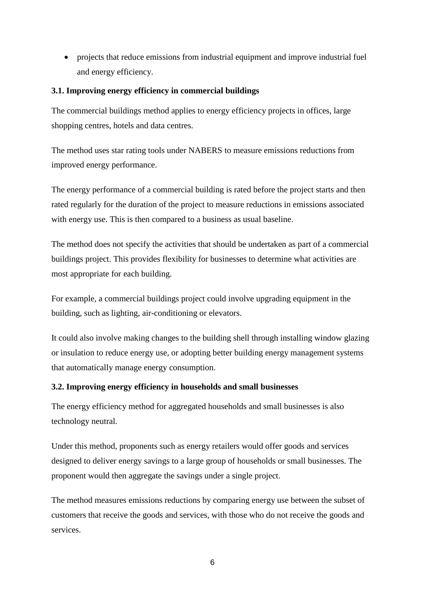projects that reduce emissions from industrial equipment and improve industrial fuel and energy efficiency.

# **3.1. Improving energy efficiency in commercial buildings**

The commercial buildings method applies to energy efficiency projects in offices, large shopping centres, hotels and data centres.

The method uses star rating tools under NABERS to measure emissions reductions from improved energy performance.

The energy performance of a commercial building is rated before the project starts and then rated regularly for the duration of the project to measure reductions in emissions associated with energy use. This is then compared to a business as usual baseline.

The method does not specify the activities that should be undertaken as part of a commercial buildings project. This provides flexibility for businesses to determine what activities are most appropriate for each building.

For example, a commercial buildings project could involve upgrading equipment in the building, such as lighting, air-conditioning or elevators.

It could also involve making changes to the building shell through installing window glazing or insulation to reduce energy use, or adopting better building energy management systems that automatically manage energy consumption.

# **3.2. Improving energy efficiency in households and small businesses**

The energy efficiency method for aggregated households and small businesses is also technology neutral.

Under this method, proponents such as energy retailers would offer goods and services designed to deliver energy savings to a large group of households or small businesses. The proponent would then aggregate the savings under a single project.

The method measures emissions reductions by comparing energy use between the subset of customers that receive the goods and services, with those who do not receive the goods and services.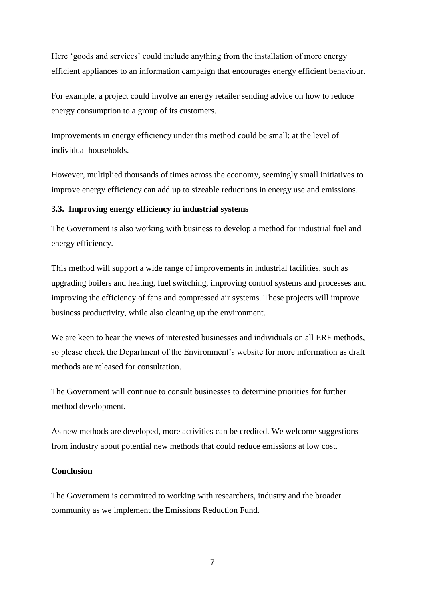Here 'goods and services' could include anything from the installation of more energy efficient appliances to an information campaign that encourages energy efficient behaviour.

For example, a project could involve an energy retailer sending advice on how to reduce energy consumption to a group of its customers.

Improvements in energy efficiency under this method could be small: at the level of individual households.

However, multiplied thousands of times across the economy, seemingly small initiatives to improve energy efficiency can add up to sizeable reductions in energy use and emissions.

# **3.3. Improving energy efficiency in industrial systems**

The Government is also working with business to develop a method for industrial fuel and energy efficiency.

This method will support a wide range of improvements in industrial facilities, such as upgrading boilers and heating, fuel switching, improving control systems and processes and improving the efficiency of fans and compressed air systems. These projects will improve business productivity, while also cleaning up the environment.

We are keen to hear the views of interested businesses and individuals on all ERF methods, so please check the Department of the Environment's website for more information as draft methods are released for consultation.

The Government will continue to consult businesses to determine priorities for further method development.

As new methods are developed, more activities can be credited. We welcome suggestions from industry about potential new methods that could reduce emissions at low cost.

#### **Conclusion**

The Government is committed to working with researchers, industry and the broader community as we implement the Emissions Reduction Fund.